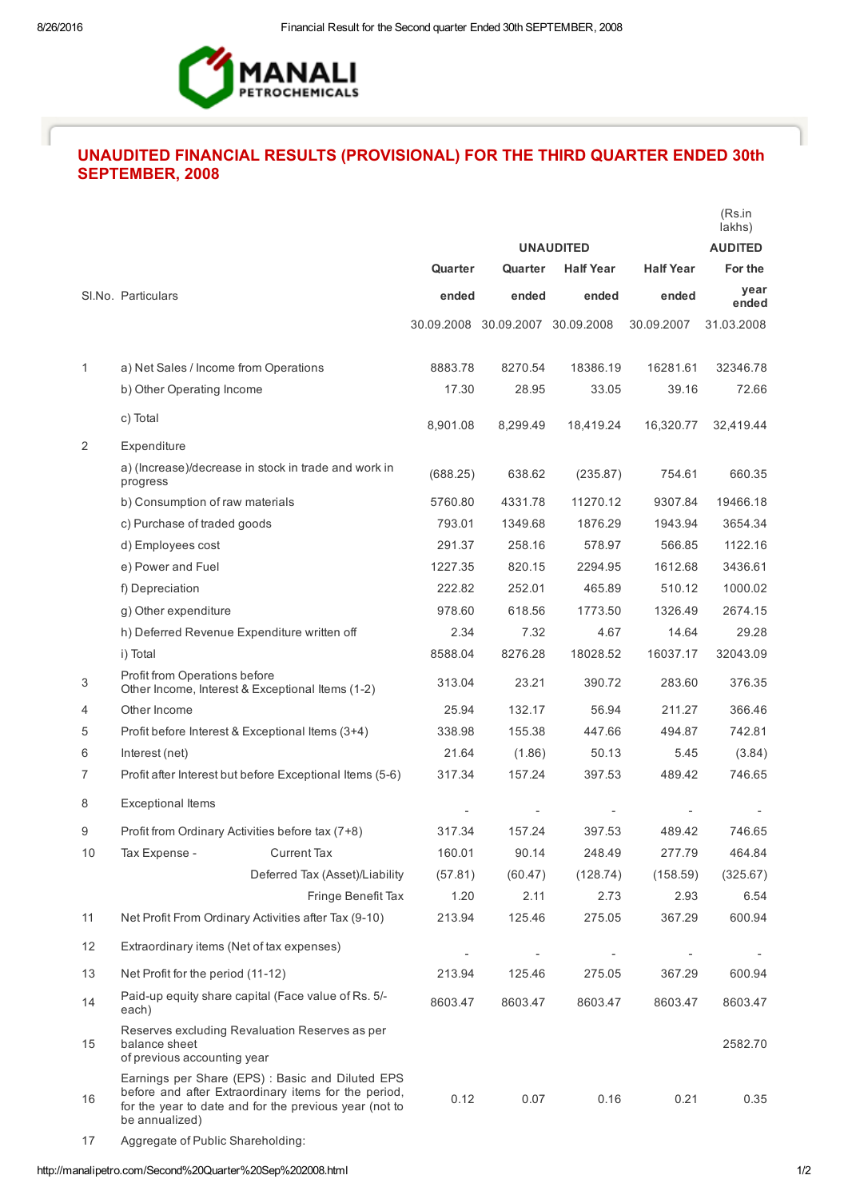

## UNAUDITED FINANCIAL RESULTS (PROVISIONAL) FOR THE THIRD QUARTER ENDED 30th SEPTEMBER, 2008

|    |                                                                                                                                                                                      |          |                                  |                  |                  | (Rs.in<br>lakhs) |
|----|--------------------------------------------------------------------------------------------------------------------------------------------------------------------------------------|----------|----------------------------------|------------------|------------------|------------------|
|    |                                                                                                                                                                                      |          | <b>UNAUDITED</b>                 |                  |                  | <b>AUDITED</b>   |
|    |                                                                                                                                                                                      | Quarter  | Quarter                          | <b>Half Year</b> | <b>Half Year</b> | For the          |
|    | SI.No. Particulars                                                                                                                                                                   | ended    | ended                            | ended            | ended            | year<br>ended    |
|    |                                                                                                                                                                                      |          | 30.09.2008 30.09.2007 30.09.2008 |                  | 30.09.2007       | 31.03.2008       |
|    |                                                                                                                                                                                      |          |                                  |                  |                  |                  |
| 1  | a) Net Sales / Income from Operations                                                                                                                                                | 8883.78  | 8270.54                          | 18386.19         | 16281.61         | 32346.78         |
|    | b) Other Operating Income                                                                                                                                                            | 17.30    | 28.95                            | 33.05            | 39.16            | 72.66            |
|    | c) Total                                                                                                                                                                             | 8,901.08 | 8,299.49                         | 18,419.24        | 16,320.77        | 32,419.44        |
| 2  | Expenditure                                                                                                                                                                          |          |                                  |                  |                  |                  |
|    | a) (Increase)/decrease in stock in trade and work in<br>progress                                                                                                                     | (688.25) | 638.62                           | (235.87)         | 754.61           | 660.35           |
|    | b) Consumption of raw materials                                                                                                                                                      | 5760.80  | 4331.78                          | 11270.12         | 9307.84          | 19466.18         |
|    | c) Purchase of traded goods                                                                                                                                                          | 793.01   | 1349.68                          | 1876.29          | 1943.94          | 3654.34          |
|    | d) Employees cost                                                                                                                                                                    | 291.37   | 258.16                           | 578.97           | 566.85           | 1122.16          |
|    | e) Power and Fuel                                                                                                                                                                    | 1227.35  | 820.15                           | 2294.95          | 1612.68          | 3436.61          |
|    | f) Depreciation                                                                                                                                                                      | 222.82   | 252.01                           | 465.89           | 510.12           | 1000.02          |
|    | g) Other expenditure                                                                                                                                                                 | 978.60   | 618.56                           | 1773.50          | 1326.49          | 2674.15          |
|    | h) Deferred Revenue Expenditure written off                                                                                                                                          | 2.34     | 7.32                             | 4.67             | 14.64            | 29.28            |
|    | i) Total                                                                                                                                                                             | 8588.04  | 8276.28                          | 18028.52         | 16037.17         | 32043.09         |
| 3  | Profit from Operations before<br>Other Income, Interest & Exceptional Items (1-2)                                                                                                    | 313.04   | 23.21                            | 390.72           | 283.60           | 376.35           |
| 4  | Other Income                                                                                                                                                                         | 25.94    | 132.17                           | 56.94            | 211.27           | 366.46           |
| 5  | Profit before Interest & Exceptional Items (3+4)                                                                                                                                     | 338.98   | 155.38                           | 447.66           | 494.87           | 742.81           |
| 6  | Interest (net)                                                                                                                                                                       | 21.64    | (1.86)                           | 50.13            | 5.45             | (3.84)           |
| 7  | Profit after Interest but before Exceptional Items (5-6)                                                                                                                             | 317.34   | 157.24                           | 397.53           | 489.42           | 746.65           |
| 8  | <b>Exceptional Items</b>                                                                                                                                                             |          |                                  |                  |                  |                  |
| 9  | Profit from Ordinary Activities before tax (7+8)                                                                                                                                     | 317.34   | 157.24                           | 397.53           | 489.42           | 746.65           |
| 10 | <b>Current Tax</b><br>Tax Expense -                                                                                                                                                  | 160.01   | 90.14                            | 248.49           | 277.79           | 464.84           |
|    | Deferred Tax (Asset)/Liability                                                                                                                                                       | (57.81)  | (60.47)                          | (128.74)         | (158.59)         | (325.67)         |
|    | Fringe Benefit Tax                                                                                                                                                                   | 1.20     | 2.11                             | 2.73             | 2.93             | 6.54             |
| 11 | Net Profit From Ordinary Activities after Tax (9-10)                                                                                                                                 | 213.94   | 125.46                           | 275.05           | 367.29           | 600.94           |
| 12 | Extraordinary items (Net of tax expenses)                                                                                                                                            |          |                                  |                  |                  |                  |
| 13 | Net Profit for the period (11-12)                                                                                                                                                    | 213.94   | 125.46                           | 275.05           | 367.29           | 600.94           |
| 14 | Paid-up equity share capital (Face value of Rs. 5/-<br>each)                                                                                                                         | 8603.47  | 8603.47                          | 8603.47          | 8603.47          | 8603.47          |
| 15 | Reserves excluding Revaluation Reserves as per<br>balance sheet<br>of previous accounting year                                                                                       |          |                                  |                  |                  | 2582.70          |
| 16 | Earnings per Share (EPS) : Basic and Diluted EPS<br>before and after Extraordinary items for the period,<br>for the year to date and for the previous year (not to<br>be annualized) | 0.12     | 0.07                             | 0.16             | 0.21             | 0.35             |
| 17 | Aggregate of Public Shareholding:                                                                                                                                                    |          |                                  |                  |                  |                  |